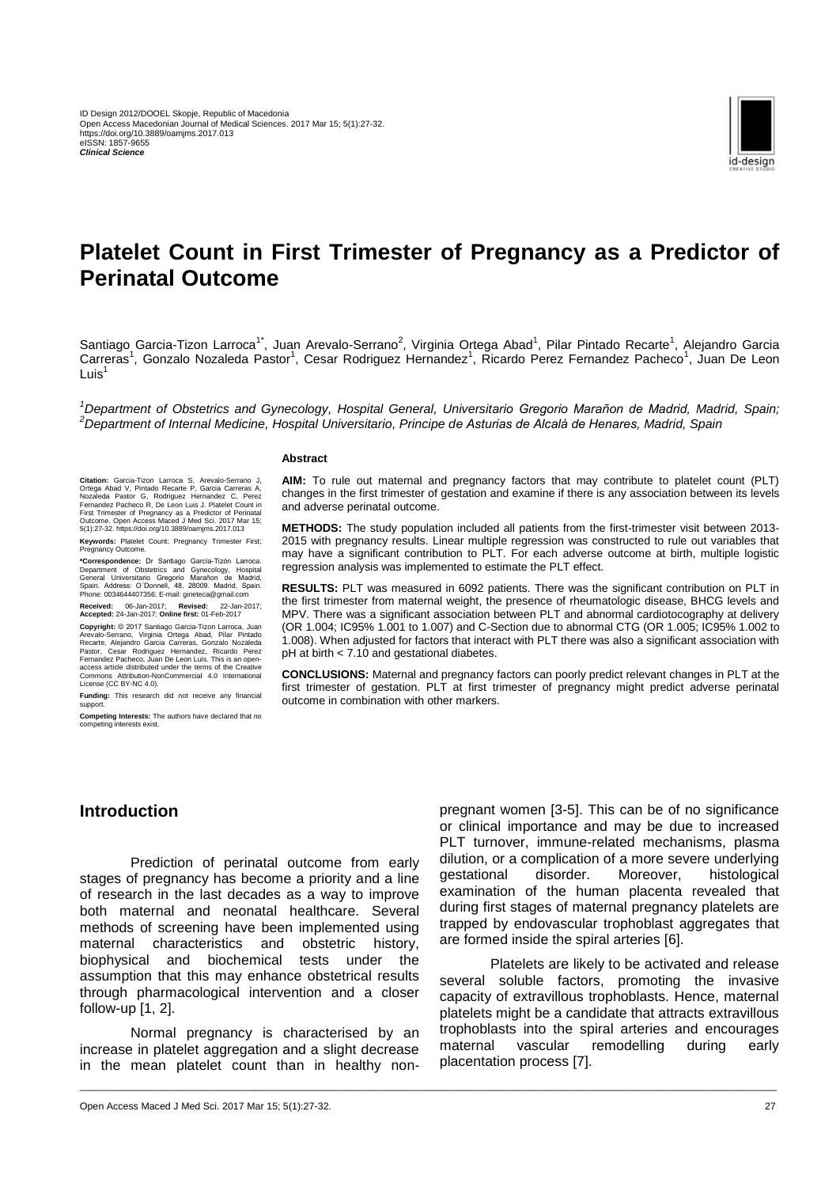

# **Platelet Count in First Trimester of Pregnancy as a Predictor of Perinatal Outcome**

Santiago Garcia-Tizon Larroca<sup>1\*</sup>, Juan Arevalo-Serrano<sup>2</sup>, Virginia Ortega Abad<sup>1</sup>, Pilar Pintado Recarte<sup>1</sup>, Alejandro Garcia Carreras<sup>1</sup>, Gonzalo Nozaleda Pastor<sup>1</sup>, Cesar Rodriguez Hernandez<sup>1</sup>, Ricardo Perez Fernandez Pacheco<sup>1</sup>, Juan De Leon Luis $<sup>1</sup>$ </sup>

*<sup>1</sup>Department of Obstetrics and Gynecology, Hospital General, Universitario Gregorio Marañon de Madrid, Madrid, Spain; <sup>2</sup>Department of Internal Medicine, Hospital Universitario, Principe de Asturias de Alcalá de Henares, Madrid, Spain*

#### **Abstract**

**AIM:** To rule out maternal and pregnancy factors that may contribute to platelet count (PLT) changes in the first trimester of gestation and examine if there is any association between its levels and adverse perinatal outcome.

**METHODS:** The study population included all patients from the first-trimester visit between 2013- 2015 with pregnancy results. Linear multiple regression was constructed to rule out variables that may have a significant contribution to PLT. For each adverse outcome at birth, multiple logistic regression analysis was implemented to estimate the PLT effect.

**RESULTS:** PLT was measured in 6092 patients. There was the significant contribution on PLT in the first trimester from maternal weight, the presence of rheumatologic disease, BHCG levels and MPV. There was a significant association between PLT and abnormal cardiotocography at delivery (OR 1.004; IC95% 1.001 to 1.007) and C-Section due to abnormal CTG (OR 1.005; IC95% 1.002 to 1.008). When adjusted for factors that interact with PLT there was also a significant association with pH at birth < 7.10 and gestational diabetes.

**CONCLUSIONS:** Maternal and pregnancy factors can poorly predict relevant changes in PLT at the first trimester of gestation. PLT at first trimester of pregnancy might predict adverse perinatal outcome in combination with other markers.

**Citation:** Garcia-Tizon Larroca S, Arevalo-Serrano J, Ortega Abad V, Pintado Recarte P, Garcia Carreras A, Nozaleda Pastor G, Rodriguez Hernandez C, Perez Fernandez Pacheco R, De Leon Luis J. Platelet Count in First Trimester of Pregnancy as a Predictor of Perinatal Outcome. Open Access Maced J Med Sci. 2017 Mar 15; 5(1):27-32. https://doi.org/10.3889/oamjms.2017.013

**Keywords:** Platelet Count; Pregnancy Trimester First; Pregnancy Outcome.

**\*Correspondence:** Dr Santiago García-Tizón Larroca. Department of Obstetrics and Gynecology, Hospital General Universitario Gregorio Marañon de Madrid, Spain. Address: O´Donnell, 48, 28009. Madrid, Spain. Phone: 0034644407356; E-mail: gineteca@gmail.com

**Received:** 06-Jan-2017; **Revised:** 22-Jan-2017; **Accepted:** 24-Jan-2017; **Online first:** 01-Feb-2017

**Copyright:** © 2017 Santiago Garcia-Tizon Larroca, Juan Arevalo-Serrano, Virginia Ortega Abad, Pilar Pintado Recarte, Alejandro Garcia Carreras, Gonzalo Nozaleda Pastor, Cesar Rodriguez Hernandez, Ricardo Perez Fernandez Pacheco, Juan De Leon Luis. This is an openaccess article distributed under the terms of the Creative Commons Attribution-NonCommercial 4.0 International License [\(CC BY-NC 4.0\).](https://creativecommons.org/licenses/by-nc/4.0/)

**Funding:** This research did not receive any financial support

**Competing Interests:** The authors have declared that no competing interests exist.

# **Introduction**

Prediction of perinatal outcome from early stages of pregnancy has become a priority and a line of research in the last decades as a way to improve both maternal and neonatal healthcare. Several methods of screening have been implemented using<br>maternal characteristics and obstetric history. maternal characteristics and obstetric history, biophysical and biochemical tests under the assumption that this may enhance obstetrical results through pharmacological intervention and a closer follow-up [1, 2].

Normal pregnancy is characterised by an increase in platelet aggregation and a slight decrease in the mean platelet count than in healthy non-

\_\_\_\_\_\_\_\_\_\_\_\_\_\_\_\_\_\_\_\_\_\_\_\_\_\_\_\_\_\_\_\_\_\_\_\_\_\_\_\_\_\_\_\_\_\_\_\_\_\_\_\_\_\_\_\_\_\_\_\_\_\_\_\_\_\_\_\_\_\_\_\_\_\_\_\_\_\_\_\_\_\_\_\_\_\_\_\_\_\_\_\_\_\_\_\_\_\_\_\_\_\_\_\_\_\_\_\_\_\_\_\_\_\_\_\_\_\_\_\_\_\_\_\_\_\_\_

pregnant women [3-5]. This can be of no significance or clinical importance and may be due to increased PLT turnover, immune-related mechanisms, plasma dilution, or a complication of a more severe underlying gestational disorder. Moreover, histological examination of the human placenta revealed that during first stages of maternal pregnancy platelets are trapped by endovascular trophoblast aggregates that are formed inside the spiral arteries [6].

Platelets are likely to be activated and release several soluble factors, promoting the invasive capacity of extravillous trophoblasts. Hence, maternal platelets might be a candidate that attracts extravillous trophoblasts into the spiral arteries and encourages maternal vascular remodelling during early placentation process [7].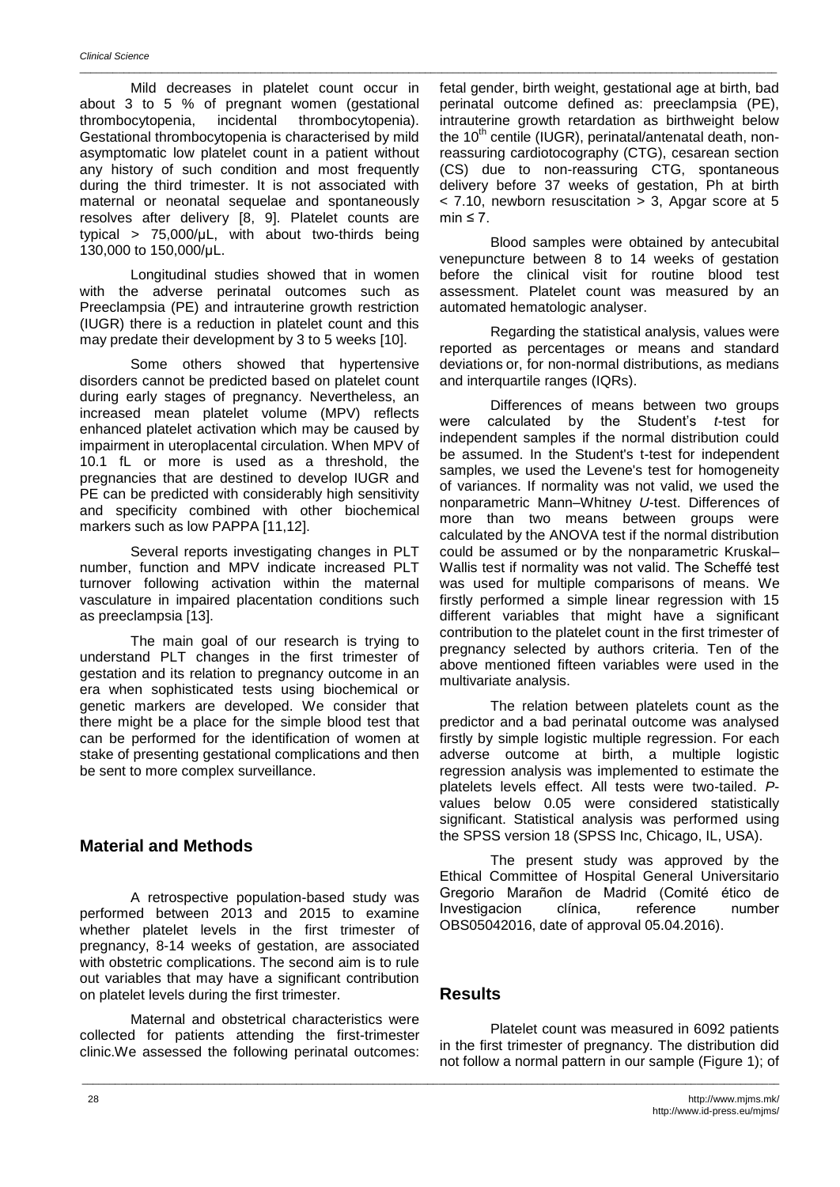Mild decreases in platelet count occur in about 3 to 5 % of pregnant women (gestational thrombocytopenia, incidental thrombocytopenia). Gestational thrombocytopenia is characterised by mild asymptomatic low platelet count in a patient without any history of such condition and most frequently during the third trimester. It is not associated with maternal or neonatal sequelae and spontaneously resolves after delivery [8, 9]. Platelet counts are typical > 75,000/μL, with about two-thirds being 130,000 to 150,000/μL.

Longitudinal studies showed that in women with the adverse perinatal outcomes such as Preeclampsia (PE) and intrauterine growth restriction (IUGR) there is a reduction in platelet count and this may predate their development by 3 to 5 weeks [10].

Some others showed that hypertensive disorders cannot be predicted based on platelet count during early stages of pregnancy. Nevertheless, an increased mean platelet volume (MPV) reflects enhanced platelet activation which may be caused by impairment in uteroplacental circulation. When MPV of 10.1 fL or more is used as a threshold, the pregnancies that are destined to develop IUGR and PE can be predicted with considerably high sensitivity and specificity combined with other biochemical markers such as low PAPPA [11,12].

Several reports investigating changes in PLT number, function and MPV indicate increased PLT turnover following activation within the maternal vasculature in impaired placentation conditions such as preeclampsia [13].

The main goal of our research is trying to understand PLT changes in the first trimester of gestation and its relation to pregnancy outcome in an era when sophisticated tests using biochemical or genetic markers are developed. We consider that there might be a place for the simple blood test that can be performed for the identification of women at stake of presenting gestational complications and then be sent to more complex surveillance.

# **Material and Methods**

A retrospective population-based study was performed between 2013 and 2015 to examine whether platelet levels in the first trimester of pregnancy, 8-14 weeks of gestation, are associated with obstetric complications. The second aim is to rule out variables that may have a significant contribution on platelet levels during the first trimester.

Maternal and obstetrical characteristics were collected for patients attending the first-trimester clinic.We assessed the following perinatal outcomes:

fetal gender, birth weight, gestational age at birth, bad perinatal outcome defined as: preeclampsia (PE), intrauterine growth retardation as birthweight below the 10<sup>th</sup> centile (IUGR), perinatal/antenatal death, nonreassuring cardiotocography (CTG), cesarean section (CS) due to non-reassuring CTG, spontaneous delivery before 37 weeks of gestation, Ph at birth  $<$  7.10, newborn resuscitation  $>$  3. Apgar score at 5 min  $\leq 7$ .

Blood samples were obtained by antecubital venepuncture between 8 to 14 weeks of gestation before the clinical visit for routine blood test assessment. Platelet count was measured by an automated hematologic analyser.

Regarding the statistical analysis, values were reported as percentages or means and standard deviations or, for non-normal distributions, as medians and interquartile ranges (IQRs).

Differences of means between two groups were calculated by the Student's *t*-test for independent samples if the normal distribution could be assumed. In the Student's t-test for independent samples, we used the Levene's test for homogeneity of variances. If normality was not valid, we used the nonparametric Mann–Whitney *U*-test. Differences of more than two means between groups were calculated by the ANOVA test if the normal distribution could be assumed or by the nonparametric Kruskal– Wallis test if normality was not valid. The Scheffé test was used for multiple comparisons of means. We firstly performed a simple linear regression with 15 different variables that might have a significant contribution to the platelet count in the first trimester of pregnancy selected by authors criteria. Ten of the above mentioned fifteen variables were used in the multivariate analysis.

The relation between platelets count as the predictor and a bad perinatal outcome was analysed firstly by simple logistic multiple regression. For each adverse outcome at birth, a multiple logistic regression analysis was implemented to estimate the platelets levels effect. All tests were two-tailed. *P*values below 0.05 were considered statistically significant. Statistical analysis was performed using the SPSS version 18 (SPSS Inc, Chicago, IL, USA).

The present study was approved by the Ethical Committee of Hospital General Universitario Gregorio Marañon de Madrid (Comité ético de Investigacion clínica, reference number OBS05042016, date of approval 05.04.2016).

# **Results**

\_\_\_\_\_\_\_\_\_\_\_\_\_\_\_\_\_\_\_\_\_\_\_\_\_\_\_\_\_\_\_\_\_\_\_\_\_\_\_\_\_\_\_\_\_\_\_\_\_\_\_\_\_\_\_\_\_\_\_\_\_\_\_\_\_\_\_\_\_\_\_\_\_\_\_\_\_\_\_\_\_\_\_\_\_\_\_\_\_\_\_\_\_\_\_\_\_\_\_\_\_\_\_\_\_\_\_\_\_\_\_\_\_\_\_\_\_\_\_\_\_\_\_\_\_\_\_

Platelet count was measured in 6092 patients in the first trimester of pregnancy. The distribution did not follow a normal pattern in our sample (Figure 1); of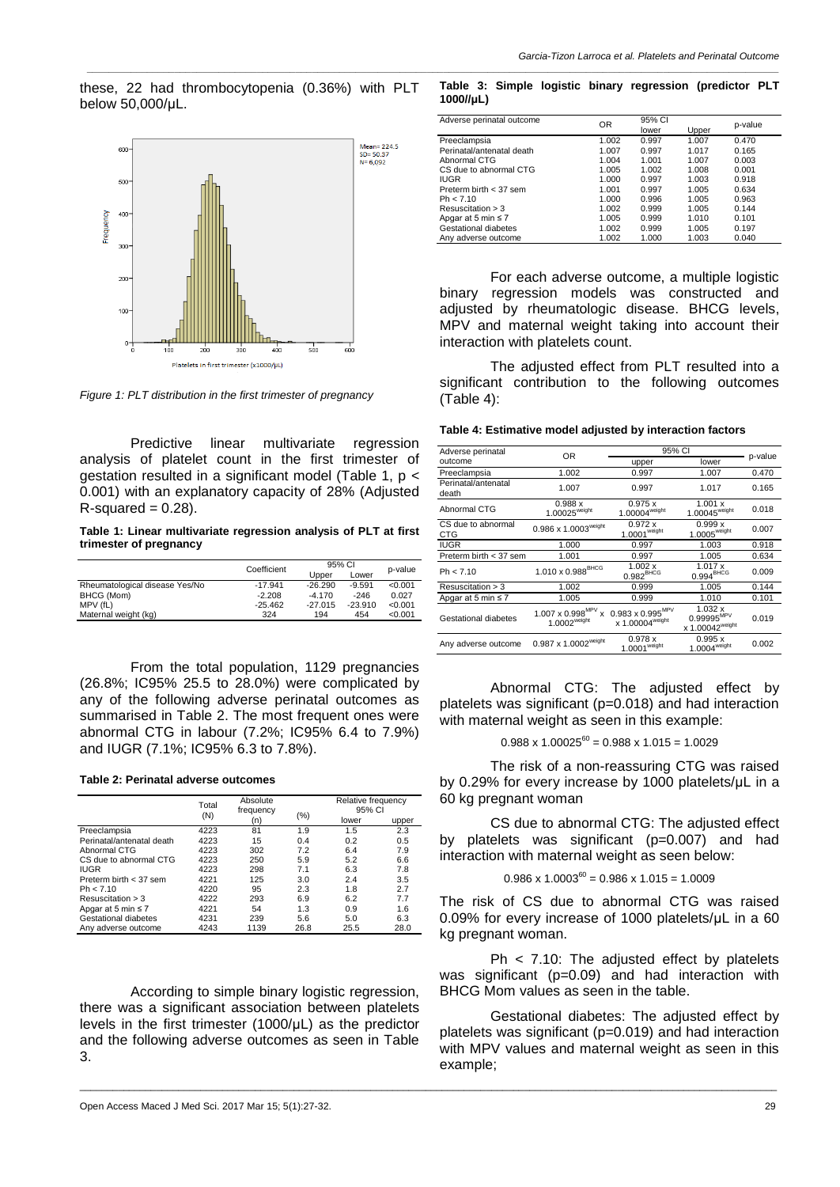these, 22 had thrombocytopenia (0.36%) with PLT below 50,000/μL.



*Figure 1: PLT distribution in the first trimester of pregnancy*

Predictive linear multivariate regression analysis of platelet count in the first trimester of gestation resulted in a significant model (Table 1, p < 0.001) with an explanatory capacity of 28% (Adjusted  $R$ -squared = 0.28).

#### **Table 1: Linear multivariate regression analysis of PLT at first trimester of pregnancy**

|                                | Coefficient | 95% CI    |           |         |  |
|--------------------------------|-------------|-----------|-----------|---------|--|
|                                |             | Upper     | Lower     | p-value |  |
| Rheumatological disease Yes/No | $-17.941$   | $-26.290$ | $-9.591$  | < 0.001 |  |
| BHCG (Mom)                     | $-2.208$    | $-4.170$  | $-246$    | 0.027   |  |
| MPV (fL)                       | $-25.462$   | $-27.015$ | $-23.910$ | < 0.001 |  |
| Maternal weight (kg)           | 324         | 194       | 454       | < 0.001 |  |

From the total population, 1129 pregnancies (26.8%; IC95% 25.5 to 28.0%) were complicated by any of the following adverse perinatal outcomes as summarised in Table 2. The most frequent ones were abnormal CTG in labour (7.2%; IC95% 6.4 to 7.9%) and IUGR (7.1%; IC95% 6.3 to 7.8%).

#### **Table 2: Perinatal adverse outcomes**

|                           | Total | Absolute<br>frequency<br>(n) |         | Relative frequency<br>95% CI |       |
|---------------------------|-------|------------------------------|---------|------------------------------|-------|
|                           | (N)   |                              | $(\% )$ | lower                        | upper |
| Preeclampsia              | 4223  | 81                           | 1.9     | 1.5                          | 2.3   |
| Perinatal/antenatal death | 4223  | 15                           | 0.4     | 0.2                          | 0.5   |
| Abnormal CTG              | 4223  | 302                          | 7.2     | 6.4                          | 7.9   |
| CS due to abnormal CTG    | 4223  | 250                          | 5.9     | 5.2                          | 6.6   |
| <b>IUGR</b>               | 4223  | 298                          | 7.1     | 6.3                          | 7.8   |
| Preterm birth $<$ 37 sem  | 4221  | 125                          | 3.0     | 2.4                          | 3.5   |
| Ph < 7.10                 | 4220  | 95                           | 2.3     | 1.8                          | 2.7   |
| Resuscitation $>$ 3       | 4222  | 293                          | 6.9     | 6.2                          | 7.7   |
| Apgar at 5 min $\leq 7$   | 4221  | 54                           | 1.3     | 0.9                          | 1.6   |
| Gestational diabetes      | 4231  | 239                          | 5.6     | 5.0                          | 6.3   |
| Any adverse outcome       | 4243  | 1139                         | 26.8    | 25.5                         | 28.0  |

According to simple binary logistic regression, there was a significant association between platelets levels in the first trimester (1000/μL) as the predictor and the following adverse outcomes as seen in Table 3.

\_\_\_\_\_\_\_\_\_\_\_\_\_\_\_\_\_\_\_\_\_\_\_\_\_\_\_\_\_\_\_\_\_\_\_\_\_\_\_\_\_\_\_\_\_\_\_\_\_\_\_\_\_\_\_\_\_\_\_\_\_\_\_\_\_\_\_\_\_\_\_\_\_\_\_\_\_\_\_\_\_\_\_\_\_\_\_\_\_\_\_\_\_\_\_\_\_\_\_\_\_\_\_\_\_\_\_\_\_\_\_\_\_\_\_\_\_\_\_\_\_\_\_\_\_\_\_

#### **Table 3: Simple logistic binary regression (predictor PLT 1000//μL)**

*\_\_\_\_\_\_\_\_\_\_\_\_\_\_\_\_\_\_\_\_\_\_\_\_\_\_\_\_\_\_\_\_\_\_\_\_\_\_\_\_\_\_\_\_\_\_\_\_\_\_\_\_\_\_\_\_\_\_\_\_\_\_\_\_\_\_\_\_\_\_\_\_\_\_\_\_\_\_\_\_\_\_\_\_\_\_\_\_\_\_\_\_\_\_\_\_\_\_\_\_\_\_\_\_\_\_\_\_\_\_\_\_\_\_\_\_\_\_\_\_\_\_\_\_\_\_*

| Adverse perinatal outcome | OR    | 95% CI<br>lower | Upper | p-value |
|---------------------------|-------|-----------------|-------|---------|
| Preeclampsia              | 1.002 | 0.997           | 1.007 | 0.470   |
| Perinatal/antenatal death | 1.007 | 0.997           | 1.017 | 0.165   |
| Abnormal CTG              | 1.004 | 1.001           | 1.007 | 0.003   |
| CS due to abnormal CTG    | 1.005 | 1.002           | 1.008 | 0.001   |
| <b>IUGR</b>               | 1.000 | 0.997           | 1.003 | 0.918   |
| Preterm birth $<$ 37 sem  | 1.001 | 0.997           | 1.005 | 0.634   |
| Ph < 7.10                 | 1.000 | 0.996           | 1.005 | 0.963   |
| Resuscitation $>$ 3       | 1.002 | 0.999           | 1.005 | 0.144   |
| Apgar at 5 min $\leq 7$   | 1.005 | 0.999           | 1.010 | 0.101   |
| Gestational diabetes      | 1.002 | 0.999           | 1.005 | 0.197   |
| Any adverse outcome       | 1.002 | 1.000           | 1.003 | 0.040   |

For each adverse outcome, a multiple logistic binary regression models was constructed and adjusted by rheumatologic disease. BHCG levels, MPV and maternal weight taking into account their interaction with platelets count.

The adjusted effect from PLT resulted into a significant contribution to the following outcomes (Table 4):

#### **Table 4: Estimative model adjusted by interaction factors**

| Adverse perinatal            | 0R                                                                                  | 95% CI                                                         | p-value                                                          |       |
|------------------------------|-------------------------------------------------------------------------------------|----------------------------------------------------------------|------------------------------------------------------------------|-------|
| outcome                      |                                                                                     | upper                                                          | lower                                                            |       |
| Preeclampsia                 | 1.002                                                                               | 0.997                                                          | 1.007                                                            | 0.470 |
| Perinatal/antenatal<br>death | 1.007                                                                               | 0.997                                                          | 1.017                                                            | 0.165 |
| Abnormal CTG                 | 0.988x<br>1.00025 <sup>weight</sup>                                                 | 0.975 x<br>1.00004 <sup>weight</sup>                           | 1.001 x<br>$1.00045^{\text{weight}}$                             | 0.018 |
| CS due to abnormal<br>CTG    | $0.986 \times 1.0003^{weight}$                                                      | 0.972x<br>1.0001 <sup>weight</sup>                             | 0.999x<br>1.0005 <sup>weight</sup>                               | 0.007 |
| <b>IUGR</b>                  | 1.000                                                                               | 0.997                                                          | 1.003                                                            | 0.918 |
| Preterm birth $<$ 37 sem     | 1.001                                                                               | 0.997                                                          | 1.005                                                            | 0.634 |
| Ph < 7.10                    | $1.010 \times 0.988^{BHCG}$                                                         | 1.002 x<br>$0.982^{\text{BHCG}}$                               | 1.017x<br>$0.994\text{BHCG}$                                     | 0.009 |
| Resuscitation $>$ 3          | 1.002                                                                               | 0.999                                                          | 1.005                                                            | 0.144 |
| Apgar at 5 min $\leq 7$      | 1.005                                                                               | 0.999                                                          | 1.010                                                            | 0.101 |
| Gestational diabetes         | $1.007 \times 0.998^{MPV}$<br>$\boldsymbol{\mathsf{x}}$<br>$1.0002^{\text{weight}}$ | $0.983\times0.995^{\text{MPV}}$<br>x 1.00004 <sup>weight</sup> | 1.032 x<br>$0.99995^{\text{MPV}}$<br>x 1.00042 <sup>weight</sup> | 0.019 |
| Any adverse outcome          | 0.987 x 1.0002 <sup>weight</sup>                                                    | 0.978 x<br>1.0001 <sup>weight</sup>                            | 0.995x<br>1.0004 <sup>weight</sup>                               | 0.002 |

Abnormal CTG: The adjusted effect by platelets was significant (p=0.018) and had interaction with maternal weight as seen in this example:

 $0.988 \times 1.00025^{60} = 0.988 \times 1.015 = 1.0029$ 

The risk of a non-reassuring CTG was raised by 0.29% for every increase by 1000 platelets/μL in a 60 kg pregnant woman

CS due to abnormal CTG: The adjusted effect by platelets was significant (p=0.007) and had interaction with maternal weight as seen below:

### $0.986 \times 1.0003^{60} = 0.986 \times 1.015 = 1.0009$

The risk of CS due to abnormal CTG was raised 0.09% for every increase of 1000 platelets/μL in a 60 kg pregnant woman.

Ph < 7.10: The adjusted effect by platelets was significant (p=0.09) and had interaction with BHCG Mom values as seen in the table.

Gestational diabetes: The adjusted effect by platelets was significant (p=0.019) and had interaction with MPV values and maternal weight as seen in this example;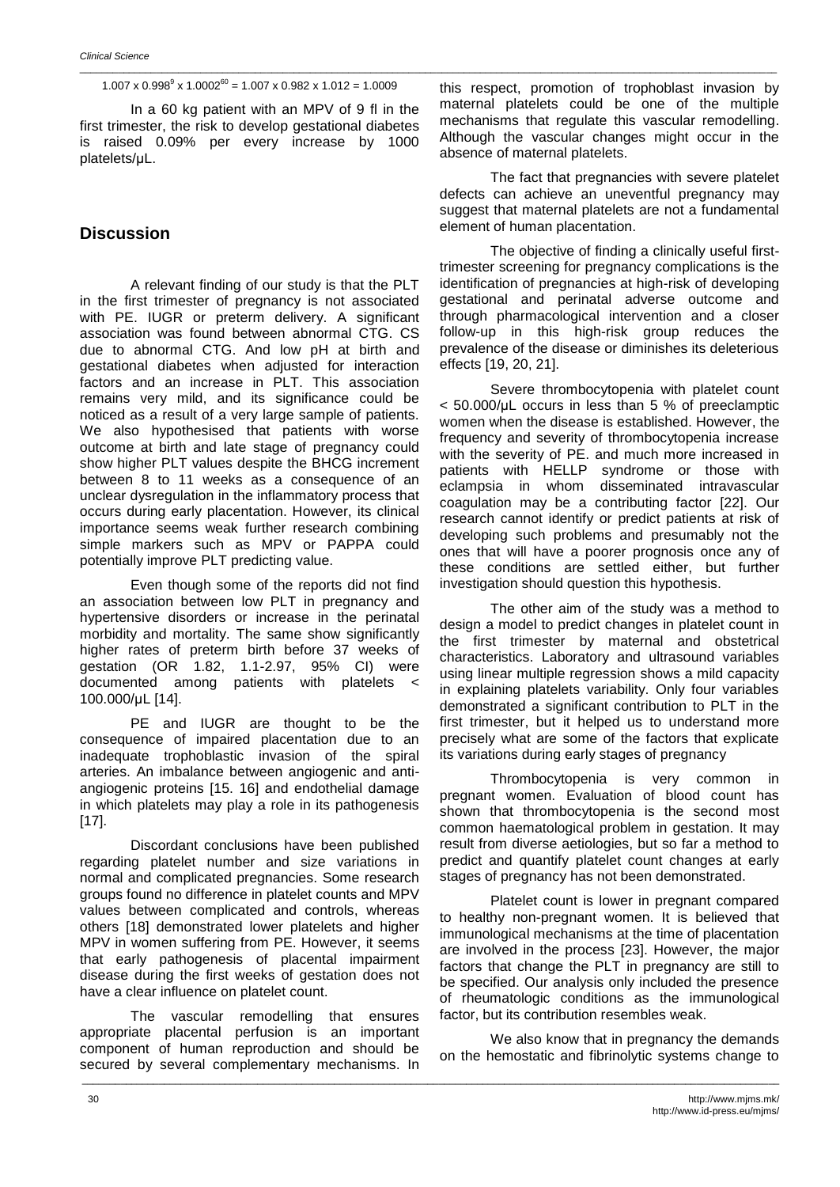$1.007 \times 0.998^9 \times 1.0002^{60} = 1.007 \times 0.982 \times 1.012 = 1.0009$ 

\_\_\_\_\_\_\_\_\_\_\_\_\_\_\_\_\_\_\_\_\_\_\_\_\_\_\_\_\_\_\_\_\_\_\_\_\_\_\_\_\_\_\_\_\_\_\_\_\_\_\_\_\_\_\_\_\_\_\_\_\_\_\_\_\_\_\_\_\_\_\_\_\_\_\_\_\_\_\_\_\_\_\_\_\_\_\_\_\_\_\_\_\_\_\_\_\_\_\_\_\_\_\_\_\_\_\_\_\_\_\_\_\_\_\_\_\_\_\_\_\_\_\_\_\_\_\_

In a 60 kg patient with an MPV of 9 fl in the first trimester, the risk to develop gestational diabetes is raised 0.09% per every increase by 1000 platelets/μL.

# **Discussion**

A relevant finding of our study is that the PLT in the first trimester of pregnancy is not associated with PE. IUGR or preterm delivery. A significant association was found between abnormal CTG. CS due to abnormal CTG. And low pH at birth and gestational diabetes when adjusted for interaction factors and an increase in PLT. This association remains very mild, and its significance could be noticed as a result of a very large sample of patients. We also hypothesised that patients with worse outcome at birth and late stage of pregnancy could show higher PLT values despite the BHCG increment between 8 to 11 weeks as a consequence of an unclear dysregulation in the inflammatory process that occurs during early placentation. However, its clinical importance seems weak further research combining simple markers such as MPV or PAPPA could potentially improve PLT predicting value.

Even though some of the reports did not find an association between low PLT in pregnancy and hypertensive disorders or increase in the perinatal morbidity and mortality. The same show significantly higher rates of preterm birth before 37 weeks of gestation (OR 1.82, 1.1-2.97, 95% CI) were documented among patients with platelets < 100.000/μL [14].

PE and IUGR are thought to be the consequence of impaired placentation due to an inadequate trophoblastic invasion of the spiral arteries. An imbalance between angiogenic and antiangiogenic proteins [15. 16] and endothelial damage in which platelets may play a role in its pathogenesis [17].

Discordant conclusions have been published regarding platelet number and size variations in normal and complicated pregnancies. Some research groups found no difference in platelet counts and MPV values between complicated and controls, whereas others [18] demonstrated lower platelets and higher MPV in women suffering from PE. However, it seems that early pathogenesis of placental impairment disease during the first weeks of gestation does not have a clear influence on platelet count.

The vascular remodelling that ensures appropriate placental perfusion is an important component of human reproduction and should be secured by several complementary mechanisms. In

\_\_\_\_\_\_\_\_\_\_\_\_\_\_\_\_\_\_\_\_\_\_\_\_\_\_\_\_\_\_\_\_\_\_\_\_\_\_\_\_\_\_\_\_\_\_\_\_\_\_\_\_\_\_\_\_\_\_\_\_\_\_\_\_\_\_\_\_\_\_\_\_\_\_\_\_\_\_\_\_\_\_\_\_\_\_\_\_\_\_\_\_\_\_\_\_\_\_\_\_\_\_\_\_\_\_\_\_\_\_\_\_\_\_\_\_\_\_\_\_\_\_\_\_\_\_\_

this respect, promotion of trophoblast invasion by maternal platelets could be one of the multiple mechanisms that regulate this vascular remodelling. Although the vascular changes might occur in the absence of maternal platelets.

The fact that pregnancies with severe platelet defects can achieve an uneventful pregnancy may suggest that maternal platelets are not a fundamental element of human placentation.

The objective of finding a clinically useful firsttrimester screening for pregnancy complications is the identification of pregnancies at high-risk of developing gestational and perinatal adverse outcome and through pharmacological intervention and a closer follow-up in this high-risk group reduces the prevalence of the disease or diminishes its deleterious effects [19, 20, 21].

Severe thrombocytopenia with platelet count < 50.000/μL occurs in less than 5 % of preeclamptic women when the disease is established. However, the frequency and severity of thrombocytopenia increase with the severity of PE. and much more increased in patients with HELLP syndrome or those with eclampsia in whom disseminated intravascular coagulation may be a contributing factor [22]. Our research cannot identify or predict patients at risk of developing such problems and presumably not the ones that will have a poorer prognosis once any of these conditions are settled either, but further investigation should question this hypothesis.

The other aim of the study was a method to design a model to predict changes in platelet count in the first trimester by maternal and obstetrical characteristics. Laboratory and ultrasound variables using linear multiple regression shows a mild capacity in explaining platelets variability. Only four variables demonstrated a significant contribution to PLT in the first trimester, but it helped us to understand more precisely what are some of the factors that explicate its variations during early stages of pregnancy

Thrombocytopenia is very common in pregnant women. Evaluation of blood count has shown that thrombocytopenia is the second most common haematological problem in gestation. It may result from diverse aetiologies, but so far a method to predict and quantify platelet count changes at early stages of pregnancy has not been demonstrated.

Platelet count is lower in pregnant compared to healthy non-pregnant women. It is believed that immunological mechanisms at the time of placentation are involved in the process [23]. However, the major factors that change the PLT in pregnancy are still to be specified. Our analysis only included the presence of rheumatologic conditions as the immunological factor, but its contribution resembles weak.

We also know that in pregnancy the demands on the hemostatic and fibrinolytic systems change to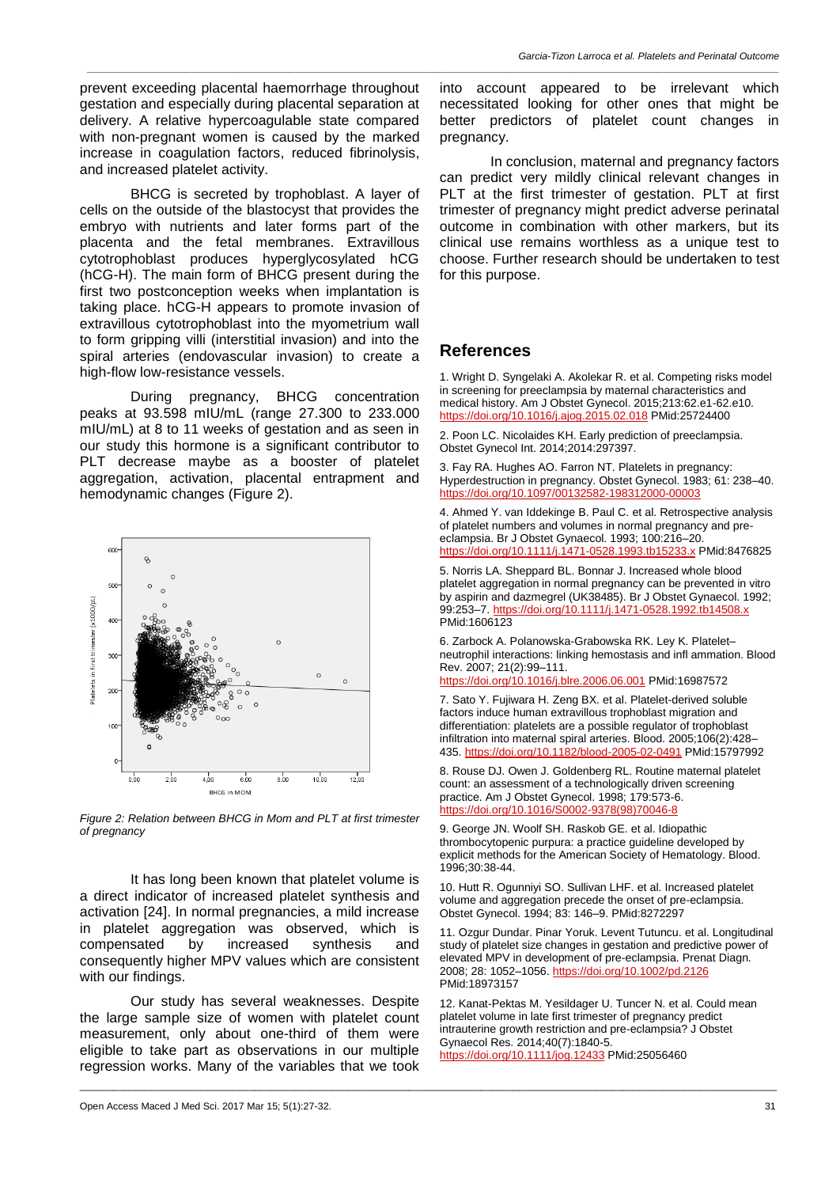prevent exceeding placental haemorrhage throughout gestation and especially during placental separation at delivery. A relative hypercoagulable state compared with non-pregnant women is caused by the marked increase in coagulation factors, reduced fibrinolysis, and increased platelet activity.

BHCG is secreted by trophoblast. A layer of cells on the outside of the blastocyst that provides the embryo with nutrients and later forms part of the placenta and the fetal membranes. Extravillous cytotrophoblast produces hyperglycosylated hCG (hCG-H). The main form of BHCG present during the first two postconception weeks when implantation is taking place. hCG-H appears to promote invasion of extravillous cytotrophoblast into the myometrium wall to form gripping villi (interstitial invasion) and into the spiral arteries (endovascular invasion) to create a high-flow low-resistance vessels.

During pregnancy, BHCG concentration peaks at 93.598 mIU/mL (range 27.300 to 233.000 mIU/mL) at 8 to 11 weeks of gestation and as seen in our study this hormone is a significant contributor to PLT decrease maybe as a booster of platelet aggregation, activation, placental entrapment and hemodynamic changes (Figure 2).



*Figure 2: Relation between BHCG in Mom and PLT at first trimester of pregnancy*

It has long been known that platelet volume is a direct indicator of increased platelet synthesis and activation [24]. In normal pregnancies, a mild increase in platelet aggregation was observed, which is compensated by increased synthesis and consequently higher MPV values which are consistent with our findings.

Our study has several weaknesses. Despite the large sample size of women with platelet count measurement, only about one-third of them were eligible to take part as observations in our multiple regression works. Many of the variables that we took

into account appeared to be irrelevant which necessitated looking for other ones that might be better predictors of platelet count changes in pregnancy.

In conclusion, maternal and pregnancy factors can predict very mildly clinical relevant changes in PLT at the first trimester of gestation. PLT at first trimester of pregnancy might predict adverse perinatal outcome in combination with other markers, but its clinical use remains worthless as a unique test to choose. Further research should be undertaken to test for this purpose.

## **References**

*\_\_\_\_\_\_\_\_\_\_\_\_\_\_\_\_\_\_\_\_\_\_\_\_\_\_\_\_\_\_\_\_\_\_\_\_\_\_\_\_\_\_\_\_\_\_\_\_\_\_\_\_\_\_\_\_\_\_\_\_\_\_\_\_\_\_\_\_\_\_\_\_\_\_\_\_\_\_\_\_\_\_\_\_\_\_\_\_\_\_\_\_\_\_\_\_\_\_\_\_\_\_\_\_\_\_\_\_\_\_\_\_\_\_\_\_\_\_\_\_\_\_\_\_\_\_*

1. Wright D. Syngelaki A. Akolekar R. et al. Competing risks model in screening for preeclampsia by maternal characteristics and medical history. Am J Obstet Gynecol. 2015;213:62.e1-62.e10. <https://doi.org/10.1016/j.ajog.2015.02.018> PMid:25724400

2. Poon LC. Nicolaides KH. Early prediction of preeclampsia. Obstet Gynecol Int. 2014;2014:297397.

3. Fay RA. Hughes AO. Farron NT. Platelets in pregnancy: Hyperdestruction in pregnancy. Obstet Gynecol. 1983; 61: 238–40. <https://doi.org/10.1097/00132582-198312000-00003>

4. Ahmed Y. van Iddekinge B. Paul C. et al. Retrospective analysis of platelet numbers and volumes in normal pregnancy and preeclampsia. Br J Obstet Gynaecol. 1993; 100:216–20. <https://doi.org/10.1111/j.1471-0528.1993.tb15233.x> PMid:8476825

5. Norris LA. Sheppard BL. Bonnar J. Increased whole blood platelet aggregation in normal pregnancy can be prevented in vitro by aspirin and dazmegrel (UK38485). Br J Obstet Gynaecol. 1992; 99:253–7. <https://doi.org/10.1111/j.1471-0528.1992.tb14508.x> PMid:1606123

6. Zarbock A. Polanowska-Grabowska RK. Ley K. Platelet– neutrophil interactions: linking hemostasis and infl ammation. Blood Rev. 2007; 21(2):99–111.

<https://doi.org/10.1016/j.blre.2006.06.001> PMid:16987572

7. Sato Y. Fujiwara H. Zeng BX. et al. Platelet-derived soluble factors induce human extravillous trophoblast migration and differentiation: platelets are a possible regulator of trophoblast infiltration into maternal spiral arteries. Blood. 2005;106(2):428– 435. <https://doi.org/10.1182/blood-2005-02-0491> PMid:15797992

8. Rouse DJ. Owen J. Goldenberg RL. Routine maternal platelet count: an assessment of a technologically driven screening practice. Am J Obstet Gynecol. 1998; 179:573-6. [https://doi.org/10.1016/S0002-9378\(98\)70046-8](https://doi.org/10.1016/S0002-9378(98)70046-8)

9. George JN. Woolf SH. Raskob GE. et al. Idiopathic thrombocytopenic purpura: a practice guideline developed by explicit methods for the American Society of Hematology. Blood. 1996;30:38-44.

10. Hutt R. Ogunniyi SO. Sullivan LHF. et al. Increased platelet volume and aggregation precede the onset of pre-eclampsia. Obstet Gynecol. 1994; 83: 146–9. PMid:8272297

11. Ozgur Dundar. Pinar Yoruk. Levent Tutuncu. et al. Longitudinal study of platelet size changes in gestation and predictive power of elevated MPV in development of pre-eclampsia. Prenat Diagn. 2008; 28: 1052–1056. <https://doi.org/10.1002/pd.2126> PMid:18973157

12. Kanat-Pektas M. Yesildager U. Tuncer N. et al. Could mean platelet volume in late first trimester of pregnancy predict intrauterine growth restriction and pre-eclampsia? J Obstet Gynaecol Res. 2014;40(7):1840-5. <https://doi.org/10.1111/jog.12433> PMid:25056460

\_\_\_\_\_\_\_\_\_\_\_\_\_\_\_\_\_\_\_\_\_\_\_\_\_\_\_\_\_\_\_\_\_\_\_\_\_\_\_\_\_\_\_\_\_\_\_\_\_\_\_\_\_\_\_\_\_\_\_\_\_\_\_\_\_\_\_\_\_\_\_\_\_\_\_\_\_\_\_\_\_\_\_\_\_\_\_\_\_\_\_\_\_\_\_\_\_\_\_\_\_\_\_\_\_\_\_\_\_\_\_\_\_\_\_\_\_\_\_\_\_\_\_\_\_\_\_